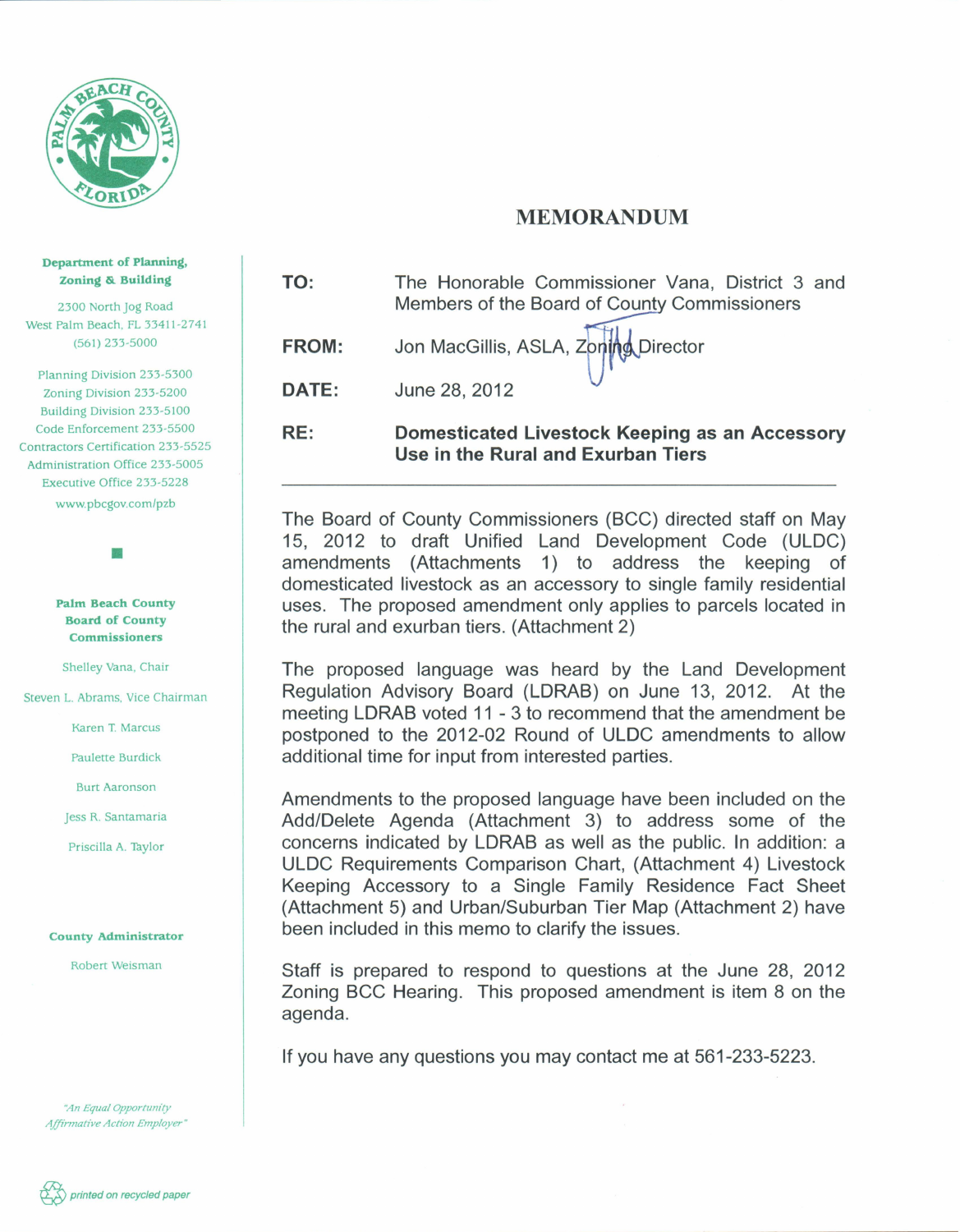

## MEMORANDUM

TO: The Honorable Commissioner Vana, District 3 and The Honorable Commissioner Vana, District 3<br>Members of the Board of County Commissioners

FROM: Jon MacGillis, ASLA, Zoning Director

DATE: June 28, 2012

RE: Domesticated Livestock Keeping as an Accessory Use in the Rural and Exurban Tiers

The Board of County Commissioners (BCC) directed staff on May 15, 2012 to draft Unified Land Development Code (ULDC) amendments (Attachments 1) to address the keeping of domesticated livestock as an accessory to single family residential uses. The proposed amendment only applies to parcels located in the rural and exurban tiers. (Attachment 2)

The proposed language was heard by the Land Development Regulation Advisory Board (LDRAB) on June 13, 2012. At the meeting LDRAB voted 11 - 3 to recommend that the amendment be postponed to the 2012-02 Round of ULDC amendments to allow additional time for input from interested parties.

Amendments to the proposed language have been included on the Add/Delete Agenda (Attachment 3) to address some of the concerns indicated by LDRAB as well as the public. In addition: a ULDC Requirements Comparison Chart, (Attachment 4) Livestock Keeping Accessory to a Single Family Residence Fact Sheet (Attachment 5) and Urban/Suburban Tier Map (Attachment 2) have been included in this memo to clarify the issues.

Staff is prepared to respond to questions at the June 28, 2012 Zoning BCC Hearing. This proposed amendment is item 8 on the agenda.

If you have any questions you may contact me at 561-233-5223.

## Department of Planning, Zoning &. Building

2300 North jog Road West Palm Beach, FL 33411-2741 (561) 233-5000

Planning Division 233-5300 Zoning Division 233-5200 Building Division 233-5100 Code Enforcement 233-5500 Contractors Certification 233-5525 Administration Office 233-5005 Executive Office 233-5228 www. pbcgov.com/pzb

> Palm Beach County Board of County Commissioners

•

Shelley Vana. Chair

Steven L. Abrams. Vice Chairman

Karen T. Marcus

Paulette Burdick

Burt Aaronson

jess R. Santamaria

Priscilla A. Taylor

## County Administrator

Robert Weisman

*"An Equal Opportunity Affirmative Action Employer "*